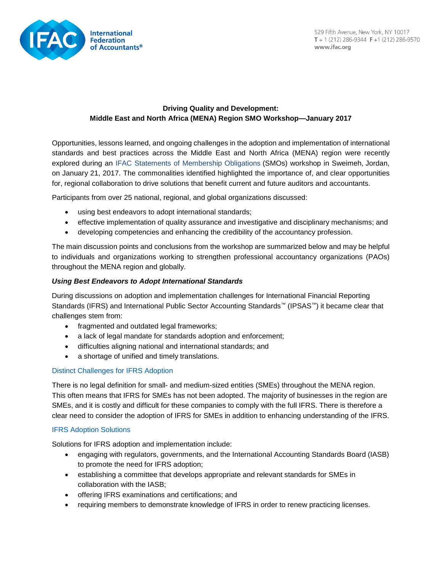

# **Driving Quality and Development: Middle East and North Africa (MENA) Region SMO Workshop—January 2017**

Opportunities, lessons learned, and ongoing challenges in the adoption and implementation of international standards and best practices across the Middle East and North Africa (MENA) region were recently explored during an [IFAC Statements of Membership Obligations](https://www.ifac.org/publications-resources/statements-membership-obligations-smos-1-7-revised) (SMOs) workshop in Sweimeh, Jordan, on January 21, 2017. The commonalities identified highlighted the importance of, and clear opportunities for, regional collaboration to drive solutions that benefit current and future auditors and accountants.

Participants from over 25 national, regional, and global organizations discussed:

- using best endeavors to adopt international standards;
- effective implementation of quality assurance and investigative and disciplinary mechanisms; and
- developing competencies and enhancing the credibility of the accountancy profession.

The main discussion points and conclusions from the workshop are summarized below and may be helpful to individuals and organizations working to strengthen professional accountancy organizations (PAOs) throughout the MENA region and globally.

### *Using Best Endeavors to Adopt International Standards*

During discussions on adoption and implementation challenges for International Financial Reporting Standards (IFRS) and International Public Sector Accounting Standards™ (IPSAS™) it became clear that challenges stem from:

- fragmented and outdated legal frameworks;
- a lack of legal mandate for standards adoption and enforcement;
- difficulties aligning national and international standards; and
- a shortage of unified and timely translations.

# Distinct Challenges for IFRS Adoption

There is no legal definition for small- and medium-sized entities (SMEs) throughout the MENA region. This often means that IFRS for SMEs has not been adopted. The majority of businesses in the region are SMEs, and it is costly and difficult for these companies to comply with the full IFRS. There is therefore a clear need to consider the adoption of IFRS for SMEs in addition to enhancing understanding of the IFRS.

### IFRS Adoption Solutions

Solutions for IFRS adoption and implementation include:

- engaging with regulators, governments, and the International Accounting Standards Board (IASB) to promote the need for IFRS adoption;
- establishing a committee that develops appropriate and relevant standards for SMEs in collaboration with the IASB;
- offering IFRS examinations and certifications; and
- requiring members to demonstrate knowledge of IFRS in order to renew practicing licenses.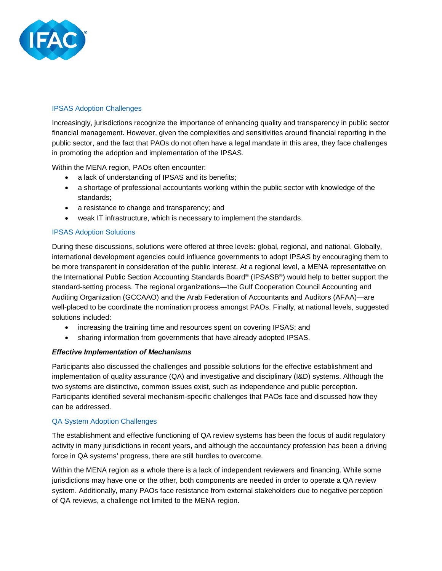

### IPSAS Adoption Challenges

Increasingly, jurisdictions recognize the importance of enhancing quality and transparency in public sector financial management. However, given the complexities and sensitivities around financial reporting in the public sector, and the fact that PAOs do not often have a legal mandate in this area, they face challenges in promoting the adoption and implementation of the IPSAS.

Within the MENA region, PAOs often encounter:

- a lack of understanding of IPSAS and its benefits;
- a shortage of professional accountants working within the public sector with knowledge of the standards;
- a resistance to change and transparency; and
- weak IT infrastructure, which is necessary to implement the standards.

### IPSAS Adoption Solutions

During these discussions, solutions were offered at three levels: global, regional, and national. Globally, international development agencies could influence governments to adopt IPSAS by encouraging them to be more transparent in consideration of the public interest. At a regional level, a MENA representative on the International Public Section Accounting Standards Board® (IPSASB®) would help to better support the standard-setting process. The regional organizations—the Gulf Cooperation Council Accounting and Auditing Organization (GCCAAO) and the Arab Federation of Accountants and Auditors (AFAA)—are well-placed to be coordinate the nomination process amongst PAOs. Finally, at national levels, suggested solutions included:

- increasing the training time and resources spent on covering IPSAS; and
- sharing information from governments that have already adopted IPSAS.

### *Effective Implementation of Mechanisms*

Participants also discussed the challenges and possible solutions for the effective establishment and implementation of quality assurance (QA) and investigative and disciplinary (I&D) systems. Although the two systems are distinctive, common issues exist, such as independence and public perception. Participants identified several mechanism-specific challenges that PAOs face and discussed how they can be addressed.

### QA System Adoption Challenges

The establishment and effective functioning of QA review systems has been the focus of audit regulatory activity in many jurisdictions in recent years, and although the accountancy profession has been a driving force in QA systems' progress, there are still hurdles to overcome.

Within the MENA region as a whole there is a lack of independent reviewers and financing. While some jurisdictions may have one or the other, both components are needed in order to operate a QA review system. Additionally, many PAOs face resistance from external stakeholders due to negative perception of QA reviews, a challenge not limited to the MENA region.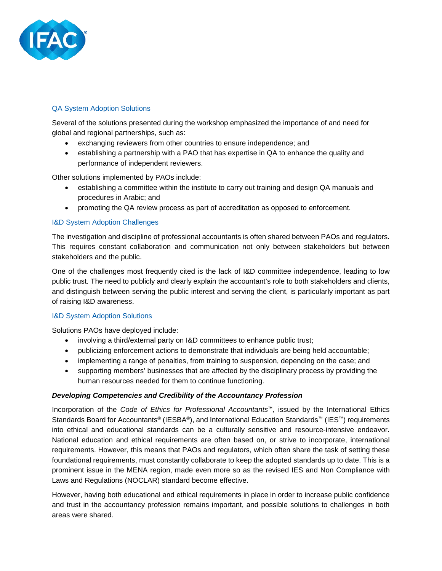

### QA System Adoption Solutions

Several of the solutions presented during the workshop emphasized the importance of and need for global and regional partnerships, such as:

- exchanging reviewers from other countries to ensure independence; and
- establishing a partnership with a PAO that has expertise in QA to enhance the quality and performance of independent reviewers.

Other solutions implemented by PAOs include:

- establishing a committee within the institute to carry out training and design QA manuals and procedures in Arabic; and
- promoting the QA review process as part of accreditation as opposed to enforcement.

### I&D System Adoption Challenges

The investigation and discipline of professional accountants is often shared between PAOs and regulators. This requires constant collaboration and communication not only between stakeholders but between stakeholders and the public.

One of the challenges most frequently cited is the lack of I&D committee independence, leading to low public trust. The need to publicly and clearly explain the accountant's role to both stakeholders and clients, and distinguish between serving the public interest and serving the client, is particularly important as part of raising I&D awareness.

### I&D System Adoption Solutions

Solutions PAOs have deployed include:

- involving a third/external party on I&D committees to enhance public trust;
- publicizing enforcement actions to demonstrate that individuals are being held accountable;
- implementing a range of penalties, from training to suspension, depending on the case; and
- supporting members' businesses that are affected by the disciplinary process by providing the human resources needed for them to continue functioning.

### *Developing Competencies and Credibility of the Accountancy Profession*

Incorporation of the *Code of Ethics for Professional Accountants™,* issued by the International Ethics Standards Board for Accountants® (IESBA®), and International Education Standards™ (IES™) requirements into ethical and educational standards can be a culturally sensitive and resource-intensive endeavor. National education and ethical requirements are often based on, or strive to incorporate, international requirements. However, this means that PAOs and regulators, which often share the task of setting these foundational requirements, must constantly collaborate to keep the adopted standards up to date. This is a prominent issue in the MENA region, made even more so as the revised IES and Non Compliance with Laws and Regulations (NOCLAR) standard become effective.

However, having both educational and ethical requirements in place in order to increase public confidence and trust in the accountancy profession remains important, and possible solutions to challenges in both areas were shared.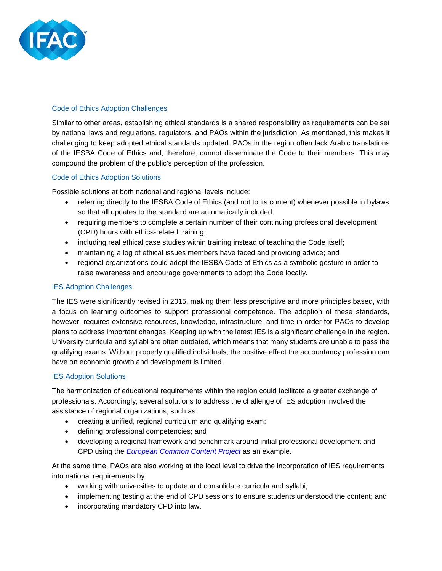

### Code of Ethics Adoption Challenges

Similar to other areas, establishing ethical standards is a shared responsibility as requirements can be set by national laws and regulations, regulators, and PAOs within the jurisdiction. As mentioned, this makes it challenging to keep adopted ethical standards updated. PAOs in the region often lack Arabic translations of the IESBA Code of Ethics and, therefore, cannot disseminate the Code to their members. This may compound the problem of the public's perception of the profession.

### Code of Ethics Adoption Solutions

Possible solutions at both national and regional levels include:

- referring directly to the IESBA Code of Ethics (and not to its content) whenever possible in bylaws so that all updates to the standard are automatically included;
- requiring members to complete a certain number of their continuing professional development (CPD) hours with ethics-related training;
- including real ethical case studies within training instead of teaching the Code itself;
- maintaining a log of ethical issues members have faced and providing advice; and
- regional organizations could adopt the IESBA Code of Ethics as a symbolic gesture in order to raise awareness and encourage governments to adopt the Code locally.

## IES Adoption Challenges

The IES were significantly revised in 2015, making them less prescriptive and more principles based, with a focus on learning outcomes to support professional competence. The adoption of these standards, however, requires extensive resources, knowledge, infrastructure, and time in order for PAOs to develop plans to address important changes. Keeping up with the latest IES is a significant challenge in the region. University curricula and syllabi are often outdated, which means that many students are unable to pass the qualifying exams. Without properly qualified individuals, the positive effect the accountancy profession can have on economic growth and development is limited.

### IES Adoption Solutions

The harmonization of educational requirements within the region could facilitate a greater exchange of professionals. Accordingly, several solutions to address the challenge of IES adoption involved the assistance of regional organizations, such as:

- creating a unified, regional curriculum and qualifying exam;
- defining professional competencies; and
- developing a regional framework and benchmark around initial professional development and CPD using the *[European Common](http://www.commoncontent.com/) Content Project* as an example.

At the same time, PAOs are also working at the local level to drive the incorporation of IES requirements into national requirements by:

- working with universities to update and consolidate curricula and syllabi;
- implementing testing at the end of CPD sessions to ensure students understood the content; and
- incorporating mandatory CPD into law.